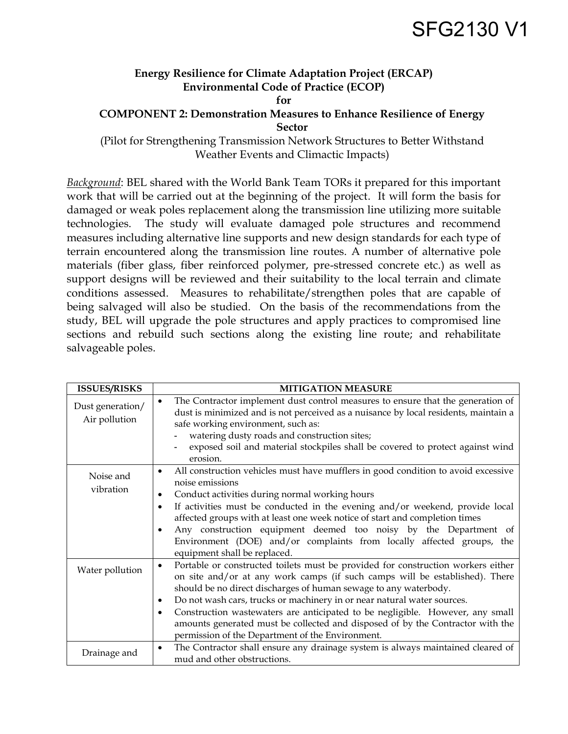## SFG2130 V1

## **Energy Resilience for Climate Adaptation Project (ERCAP) Environmental Code of Practice (ECOP)**

**for** 

## **COMPONENT 2: Demonstration Measures to Enhance Resilience of Energy Sector**

(Pilot for Strengthening Transmission Network Structures to Better Withstand Weather Events and Climactic Impacts)

*Background*: BEL shared with the World Bank Team TORs it prepared for this important work that will be carried out at the beginning of the project. It will form the basis for damaged or weak poles replacement along the transmission line utilizing more suitable technologies. The study will evaluate damaged pole structures and recommend measures including alternative line supports and new design standards for each type of terrain encountered along the transmission line routes. A number of alternative pole materials (fiber glass, fiber reinforced polymer, pre-stressed concrete etc.) as well as support designs will be reviewed and their suitability to the local terrain and climate conditions assessed. Measures to rehabilitate/strengthen poles that are capable of being salvaged will also be studied. On the basis of the recommendations from the study, BEL will upgrade the pole structures and apply practices to compromised line sections and rebuild such sections along the existing line route; and rehabilitate salvageable poles.

| <b>ISSUES/RISKS</b>               | <b>MITIGATION MEASURE</b>                                                                                                                                                                                                                                                                                                                                                                                                                                                                                                                                            |
|-----------------------------------|----------------------------------------------------------------------------------------------------------------------------------------------------------------------------------------------------------------------------------------------------------------------------------------------------------------------------------------------------------------------------------------------------------------------------------------------------------------------------------------------------------------------------------------------------------------------|
| Dust generation/<br>Air pollution | The Contractor implement dust control measures to ensure that the generation of<br>$\bullet$<br>dust is minimized and is not perceived as a nuisance by local residents, maintain a<br>safe working environment, such as:<br>watering dusty roads and construction sites;<br>exposed soil and material stockpiles shall be covered to protect against wind<br>erosion.                                                                                                                                                                                               |
| Noise and<br>vibration            | All construction vehicles must have mufflers in good condition to avoid excessive<br>$\bullet$<br>noise emissions<br>Conduct activities during normal working hours<br>$\bullet$<br>If activities must be conducted in the evening and/or weekend, provide local<br>$\bullet$<br>affected groups with at least one week notice of start and completion times<br>Any construction equipment deemed too noisy by the Department of<br>Environment (DOE) and/or complaints from locally affected groups, the<br>equipment shall be replaced.                            |
| Water pollution                   | Portable or constructed toilets must be provided for construction workers either<br>$\bullet$<br>on site and/or at any work camps (if such camps will be established). There<br>should be no direct discharges of human sewage to any waterbody.<br>Do not wash cars, trucks or machinery in or near natural water sources.<br>٠<br>Construction wastewaters are anticipated to be negligible. However, any small<br>$\bullet$<br>amounts generated must be collected and disposed of by the Contractor with the<br>permission of the Department of the Environment. |
| Drainage and                      | The Contractor shall ensure any drainage system is always maintained cleared of<br>$\bullet$<br>mud and other obstructions.                                                                                                                                                                                                                                                                                                                                                                                                                                          |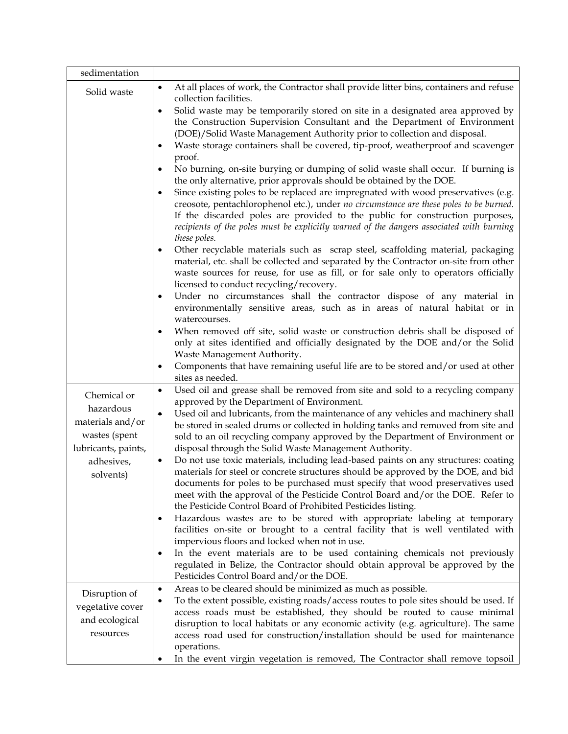| sedimentation                                                                                                   |                                                                                                                                                                                                                                                                                                                                                                                                                                                                                                                                                                                                                                                                                                                                                                                                                                                                                                                                                                                                                                                                                                                                                                                                                                                                                                                                                                                                                                                                                                                                                                                                                                                                                                                                                      |
|-----------------------------------------------------------------------------------------------------------------|------------------------------------------------------------------------------------------------------------------------------------------------------------------------------------------------------------------------------------------------------------------------------------------------------------------------------------------------------------------------------------------------------------------------------------------------------------------------------------------------------------------------------------------------------------------------------------------------------------------------------------------------------------------------------------------------------------------------------------------------------------------------------------------------------------------------------------------------------------------------------------------------------------------------------------------------------------------------------------------------------------------------------------------------------------------------------------------------------------------------------------------------------------------------------------------------------------------------------------------------------------------------------------------------------------------------------------------------------------------------------------------------------------------------------------------------------------------------------------------------------------------------------------------------------------------------------------------------------------------------------------------------------------------------------------------------------------------------------------------------------|
| Solid waste                                                                                                     | At all places of work, the Contractor shall provide litter bins, containers and refuse<br>$\bullet$<br>collection facilities.                                                                                                                                                                                                                                                                                                                                                                                                                                                                                                                                                                                                                                                                                                                                                                                                                                                                                                                                                                                                                                                                                                                                                                                                                                                                                                                                                                                                                                                                                                                                                                                                                        |
|                                                                                                                 | Solid waste may be temporarily stored on site in a designated area approved by<br>$\bullet$<br>the Construction Supervision Consultant and the Department of Environment<br>(DOE)/Solid Waste Management Authority prior to collection and disposal.<br>Waste storage containers shall be covered, tip-proof, weatherproof and scavenger<br>٠<br>proof.<br>No burning, on-site burying or dumping of solid waste shall occur. If burning is<br>۰<br>the only alternative, prior approvals should be obtained by the DOE.<br>Since existing poles to be replaced are impregnated with wood preservatives (e.g.<br>$\bullet$<br>creosote, pentachlorophenol etc.), under no circumstance are these poles to be burned.<br>If the discarded poles are provided to the public for construction purposes,<br>recipients of the poles must be explicitly warned of the dangers associated with burning<br>these poles.<br>Other recyclable materials such as scrap steel, scaffolding material, packaging<br>٠<br>material, etc. shall be collected and separated by the Contractor on-site from other<br>waste sources for reuse, for use as fill, or for sale only to operators officially<br>licensed to conduct recycling/recovery.<br>Under no circumstances shall the contractor dispose of any material in<br>$\bullet$<br>environmentally sensitive areas, such as in areas of natural habitat or in<br>watercourses.<br>When removed off site, solid waste or construction debris shall be disposed of<br>$\bullet$<br>only at sites identified and officially designated by the DOE and/or the Solid<br>Waste Management Authority.<br>Components that have remaining useful life are to be stored and/or used at other<br>٠<br>sites as needed. |
| Chemical or<br>hazardous<br>materials and/or<br>wastes (spent<br>lubricants, paints,<br>adhesives,<br>solvents) | Used oil and grease shall be removed from site and sold to a recycling company<br>$\bullet$<br>approved by the Department of Environment.<br>Used oil and lubricants, from the maintenance of any vehicles and machinery shall<br>$\bullet$<br>be stored in sealed drums or collected in holding tanks and removed from site and<br>sold to an oil recycling company approved by the Department of Environment or<br>disposal through the Solid Waste Management Authority.<br>Do not use toxic materials, including lead-based paints on any structures: coating<br>٠<br>materials for steel or concrete structures should be approved by the DOE, and bid<br>documents for poles to be purchased must specify that wood preservatives used<br>meet with the approval of the Pesticide Control Board and/or the DOE. Refer to<br>the Pesticide Control Board of Prohibited Pesticides listing.<br>Hazardous wastes are to be stored with appropriate labeling at temporary<br>٠<br>facilities on-site or brought to a central facility that is well ventilated with<br>impervious floors and locked when not in use.<br>In the event materials are to be used containing chemicals not previously<br>٠<br>regulated in Belize, the Contractor should obtain approval be approved by the<br>Pesticides Control Board and/or the DOE.                                                                                                                                                                                                                                                                                                                                                                                                                 |
| Disruption of<br>vegetative cover<br>and ecological<br>resources                                                | Areas to be cleared should be minimized as much as possible.<br>$\bullet$<br>To the extent possible, existing roads/access routes to pole sites should be used. If<br>$\bullet$<br>access roads must be established, they should be routed to cause minimal<br>disruption to local habitats or any economic activity (e.g. agriculture). The same<br>access road used for construction/installation should be used for maintenance<br>operations.<br>In the event virgin vegetation is removed, The Contractor shall remove topsoil<br>٠                                                                                                                                                                                                                                                                                                                                                                                                                                                                                                                                                                                                                                                                                                                                                                                                                                                                                                                                                                                                                                                                                                                                                                                                             |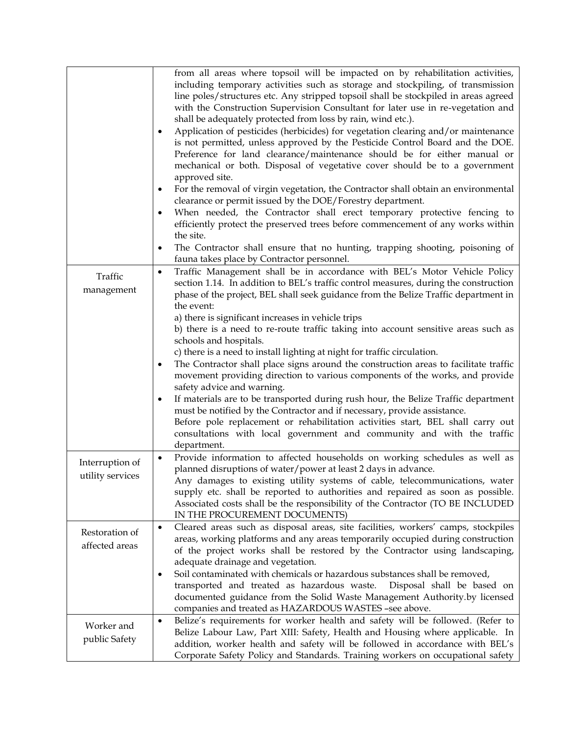|                                     | from all areas where topsoil will be impacted on by rehabilitation activities,<br>including temporary activities such as storage and stockpiling, of transmission<br>line poles/structures etc. Any stripped topsoil shall be stockpiled in areas agreed<br>with the Construction Supervision Consultant for later use in re-vegetation and<br>shall be adequately protected from loss by rain, wind etc.).<br>Application of pesticides (herbicides) for vegetation clearing and/or maintenance<br>$\bullet$<br>is not permitted, unless approved by the Pesticide Control Board and the DOE.<br>Preference for land clearance/maintenance should be for either manual or<br>mechanical or both. Disposal of vegetative cover should be to a government<br>approved site.<br>For the removal of virgin vegetation, the Contractor shall obtain an environmental<br>٠<br>clearance or permit issued by the DOE/Forestry department.<br>When needed, the Contractor shall erect temporary protective fencing to<br>$\bullet$<br>efficiently protect the preserved trees before commencement of any works within<br>the site.<br>The Contractor shall ensure that no hunting, trapping shooting, poisoning of<br>٠ |
|-------------------------------------|------------------------------------------------------------------------------------------------------------------------------------------------------------------------------------------------------------------------------------------------------------------------------------------------------------------------------------------------------------------------------------------------------------------------------------------------------------------------------------------------------------------------------------------------------------------------------------------------------------------------------------------------------------------------------------------------------------------------------------------------------------------------------------------------------------------------------------------------------------------------------------------------------------------------------------------------------------------------------------------------------------------------------------------------------------------------------------------------------------------------------------------------------------------------------------------------------------------|
|                                     | fauna takes place by Contractor personnel.                                                                                                                                                                                                                                                                                                                                                                                                                                                                                                                                                                                                                                                                                                                                                                                                                                                                                                                                                                                                                                                                                                                                                                       |
| Traffic<br>management               | Traffic Management shall be in accordance with BEL's Motor Vehicle Policy<br>$\bullet$<br>section 1.14. In addition to BEL's traffic control measures, during the construction<br>phase of the project, BEL shall seek guidance from the Belize Traffic department in<br>the event:<br>a) there is significant increases in vehicle trips                                                                                                                                                                                                                                                                                                                                                                                                                                                                                                                                                                                                                                                                                                                                                                                                                                                                        |
|                                     | b) there is a need to re-route traffic taking into account sensitive areas such as<br>schools and hospitals.                                                                                                                                                                                                                                                                                                                                                                                                                                                                                                                                                                                                                                                                                                                                                                                                                                                                                                                                                                                                                                                                                                     |
|                                     | c) there is a need to install lighting at night for traffic circulation.<br>The Contractor shall place signs around the construction areas to facilitate traffic<br>$\bullet$<br>movement providing direction to various components of the works, and provide<br>safety advice and warning.                                                                                                                                                                                                                                                                                                                                                                                                                                                                                                                                                                                                                                                                                                                                                                                                                                                                                                                      |
|                                     | If materials are to be transported during rush hour, the Belize Traffic department<br>٠<br>must be notified by the Contractor and if necessary, provide assistance.<br>Before pole replacement or rehabilitation activities start, BEL shall carry out<br>consultations with local government and community and with the traffic<br>department.                                                                                                                                                                                                                                                                                                                                                                                                                                                                                                                                                                                                                                                                                                                                                                                                                                                                  |
| Interruption of<br>utility services | Provide information to affected households on working schedules as well as<br>$\bullet$<br>planned disruptions of water/power at least 2 days in advance.                                                                                                                                                                                                                                                                                                                                                                                                                                                                                                                                                                                                                                                                                                                                                                                                                                                                                                                                                                                                                                                        |
|                                     | Any damages to existing utility systems of cable, telecommunications, water<br>supply etc. shall be reported to authorities and repaired as soon as possible.<br>Associated costs shall be the responsibility of the Contractor (TO BE INCLUDED<br>IN THE PROCUREMENT DOCUMENTS)                                                                                                                                                                                                                                                                                                                                                                                                                                                                                                                                                                                                                                                                                                                                                                                                                                                                                                                                 |
| Restoration of<br>affected areas    | Cleared areas such as disposal areas, site facilities, workers' camps, stockpiles<br>$\bullet$<br>areas, working platforms and any areas temporarily occupied during construction<br>of the project works shall be restored by the Contractor using landscaping,                                                                                                                                                                                                                                                                                                                                                                                                                                                                                                                                                                                                                                                                                                                                                                                                                                                                                                                                                 |
|                                     | adequate drainage and vegetation.<br>Soil contaminated with chemicals or hazardous substances shall be removed,<br>٠<br>transported and treated as hazardous waste.<br>Disposal shall be based on<br>documented guidance from the Solid Waste Management Authority.by licensed<br>companies and treated as HAZARDOUS WASTES -see above.                                                                                                                                                                                                                                                                                                                                                                                                                                                                                                                                                                                                                                                                                                                                                                                                                                                                          |
| Worker and<br>public Safety         | Belize's requirements for worker health and safety will be followed. (Refer to<br>$\bullet$<br>Belize Labour Law, Part XIII: Safety, Health and Housing where applicable. In<br>addition, worker health and safety will be followed in accordance with BEL's<br>Corporate Safety Policy and Standards. Training workers on occupational safety                                                                                                                                                                                                                                                                                                                                                                                                                                                                                                                                                                                                                                                                                                                                                                                                                                                                   |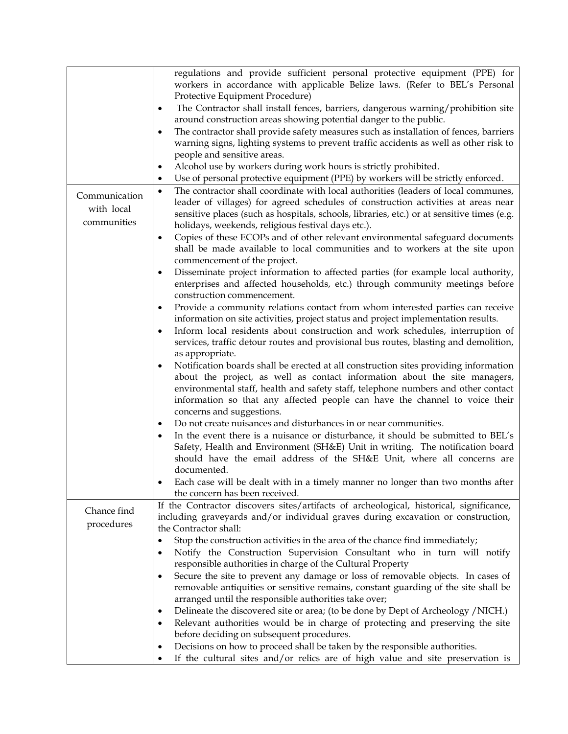|               | regulations and provide sufficient personal protective equipment (PPE) for<br>workers in accordance with applicable Belize laws. (Refer to BEL's Personal |
|---------------|-----------------------------------------------------------------------------------------------------------------------------------------------------------|
|               | Protective Equipment Procedure)                                                                                                                           |
|               | The Contractor shall install fences, barriers, dangerous warning/prohibition site<br>$\bullet$                                                            |
|               | around construction areas showing potential danger to the public.                                                                                         |
|               | The contractor shall provide safety measures such as installation of fences, barriers<br>٠                                                                |
|               | warning signs, lighting systems to prevent traffic accidents as well as other risk to                                                                     |
|               | people and sensitive areas.                                                                                                                               |
|               | Alcohol use by workers during work hours is strictly prohibited.<br>$\bullet$                                                                             |
|               | Use of personal protective equipment (PPE) by workers will be strictly enforced.<br>٠                                                                     |
| Communication | The contractor shall coordinate with local authorities (leaders of local communes,<br>$\bullet$                                                           |
|               | leader of villages) for agreed schedules of construction activities at areas near                                                                         |
| with local    | sensitive places (such as hospitals, schools, libraries, etc.) or at sensitive times (e.g.                                                                |
| communities   | holidays, weekends, religious festival days etc.).                                                                                                        |
|               | Copies of these ECOPs and of other relevant environmental safeguard documents<br>٠                                                                        |
|               | shall be made available to local communities and to workers at the site upon                                                                              |
|               | commencement of the project.                                                                                                                              |
|               | Disseminate project information to affected parties (for example local authority,<br>$\bullet$                                                            |
|               | enterprises and affected households, etc.) through community meetings before                                                                              |
|               | construction commencement.                                                                                                                                |
|               | Provide a community relations contact from whom interested parties can receive<br>٠                                                                       |
|               | information on site activities, project status and project implementation results.                                                                        |
|               | Inform local residents about construction and work schedules, interruption of<br>$\bullet$                                                                |
|               | services, traffic detour routes and provisional bus routes, blasting and demolition,                                                                      |
|               | as appropriate.                                                                                                                                           |
|               | Notification boards shall be erected at all construction sites providing information<br>٠                                                                 |
|               | about the project, as well as contact information about the site managers,                                                                                |
|               | environmental staff, health and safety staff, telephone numbers and other contact                                                                         |
|               | information so that any affected people can have the channel to voice their                                                                               |
|               | concerns and suggestions.                                                                                                                                 |
|               | Do not create nuisances and disturbances in or near communities.<br>$\bullet$                                                                             |
|               | In the event there is a nuisance or disturbance, it should be submitted to BEL's<br>$\bullet$                                                             |
|               | Safety, Health and Environment (SH&E) Unit in writing. The notification board                                                                             |
|               | should have the email address of the SH&E Unit, where all concerns are                                                                                    |
|               | documented.                                                                                                                                               |
|               | Each case will be dealt with in a timely manner no longer than two months after                                                                           |
|               | the concern has been received.                                                                                                                            |
|               | If the Contractor discovers sites/artifacts of archeological, historical, significance,                                                                   |
| Chance find   | including graveyards and/or individual graves during excavation or construction,                                                                          |
| procedures    | the Contractor shall:                                                                                                                                     |
|               | Stop the construction activities in the area of the chance find immediately;<br>٠                                                                         |
|               | Notify the Construction Supervision Consultant who in turn will notify<br>٠                                                                               |
|               | responsible authorities in charge of the Cultural Property                                                                                                |
|               | Secure the site to prevent any damage or loss of removable objects. In cases of<br>$\bullet$                                                              |
|               | removable antiquities or sensitive remains, constant guarding of the site shall be                                                                        |
|               | arranged until the responsible authorities take over;                                                                                                     |
|               | Delineate the discovered site or area; (to be done by Dept of Archeology /NICH.)<br>$\bullet$                                                             |
|               | Relevant authorities would be in charge of protecting and preserving the site<br>٠                                                                        |
|               | before deciding on subsequent procedures.                                                                                                                 |
|               | Decisions on how to proceed shall be taken by the responsible authorities.<br>٠                                                                           |
|               | If the cultural sites and/or relics are of high value and site preservation is                                                                            |